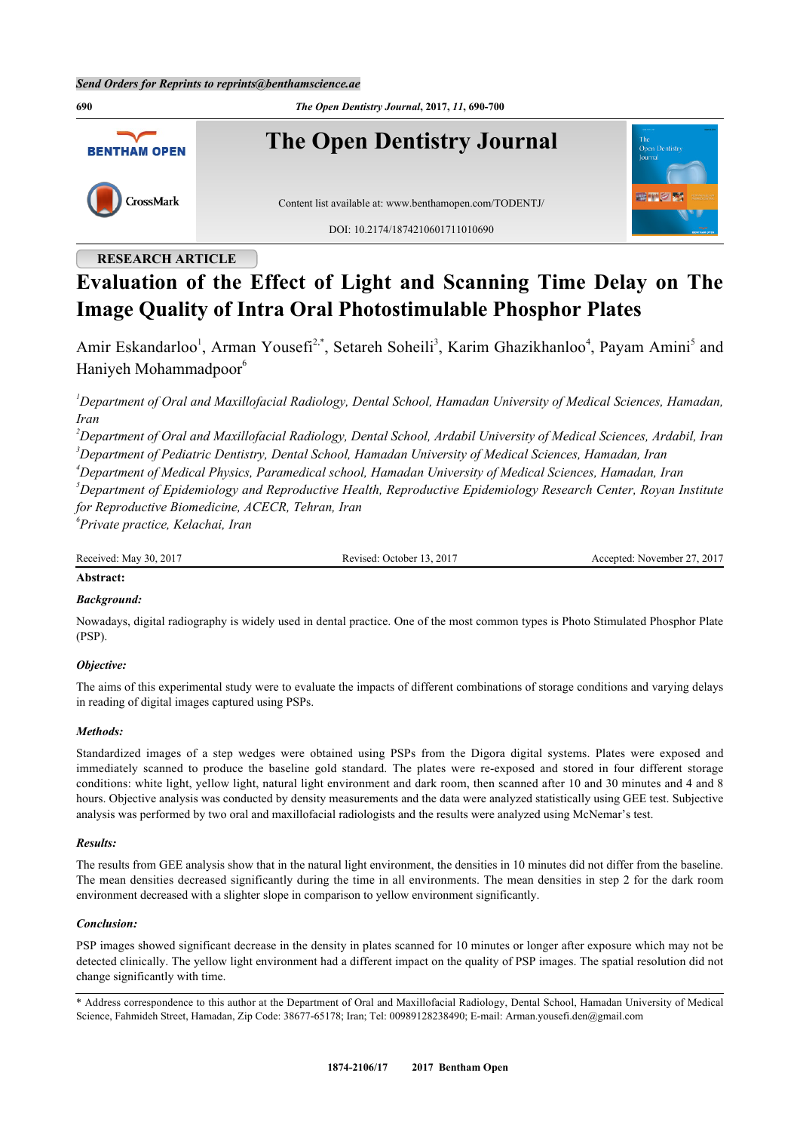

# **RESEARCH ARTICLE**

# **Evaluation of the Effect of Light and Scanning Time Delay on The Image Quality of Intra Oral Photostimulable Phosphor Plates**

Amir Eskandarloo<sup>[1](#page-0-0)</sup>, Arman Yousefi<sup>[2](#page-0-1)[,\\*](#page-0-2)</sup>, Setareh Soheili<sup>[3](#page-0-3)</sup>, Karim Ghazikhanloo<sup>[4](#page-0-4)</sup>, Payam Amini<sup>[5](#page-0-5)</sup> and Haniyeh Mohammadpoor<sup>[6](#page-0-6)</sup>

<span id="page-0-0"></span>*<sup>1</sup>Department of Oral and Maxillofacial Radiology, Dental School, Hamadan University of Medical Sciences, Hamadan, Iran*

<span id="page-0-3"></span><span id="page-0-1"></span>*<sup>2</sup>Department of Oral and Maxillofacial Radiology, Dental School, Ardabil University of Medical Sciences, Ardabil, Iran <sup>3</sup>Department of Pediatric Dentistry, Dental School, Hamadan University of Medical Sciences, Hamadan, Iran*

<span id="page-0-4"></span>*<sup>4</sup>Department of Medical Physics, Paramedical school, Hamadan University of Medical Sciences, Hamadan, Iran*

<span id="page-0-5"></span>*<sup>5</sup>Department of Epidemiology and Reproductive Health, Reproductive Epidemiology Research Center, Royan Institute for Reproductive Biomedicine, ACECR, Tehran, Iran*

<span id="page-0-6"></span>*6 Private practice, Kelachai, Iran*

Received: May 30, 2017 Revised: October 13, 2017 Accepted: November 27, 2017

# **Abstract:**

# *Background:*

Nowadays, digital radiography is widely used in dental practice. One of the most common types is Photo Stimulated Phosphor Plate (PSP).

# *Objective:*

The aims of this experimental study were to evaluate the impacts of different combinations of storage conditions and varying delays in reading of digital images captured using PSPs.

# *Methods:*

Standardized images of a step wedges were obtained using PSPs from the Digora digital systems. Plates were exposed and immediately scanned to produce the baseline gold standard. The plates were re-exposed and stored in four different storage conditions: white light, yellow light, natural light environment and dark room, then scanned after 10 and 30 minutes and 4 and 8 hours. Objective analysis was conducted by density measurements and the data were analyzed statistically using GEE test. Subjective analysis was performed by two oral and maxillofacial radiologists and the results were analyzed using McNemar's test.

# *Results:*

The results from GEE analysis show that in the natural light environment, the densities in 10 minutes did not differ from the baseline. The mean densities decreased significantly during the time in all environments. The mean densities in step 2 for the dark room environment decreased with a slighter slope in comparison to yellow environment significantly.

# *Conclusion:*

PSP images showed significant decrease in the density in plates scanned for 10 minutes or longer after exposure which may not be detected clinically. The yellow light environment had a different impact on the quality of PSP images. The spatial resolution did not change significantly with time.

<span id="page-0-2"></span>\* Address correspondence to this author at the Department of Oral and Maxillofacial Radiology, Dental School, Hamadan University of Medical Science, Fahmideh Street, Hamadan, Zip Code: 38677-65178; Iran; Tel: 00989128238490; E-mail: [Arman.yousefi.den@gmail.com](mailto:Arman.yousefi.den@gmail.com)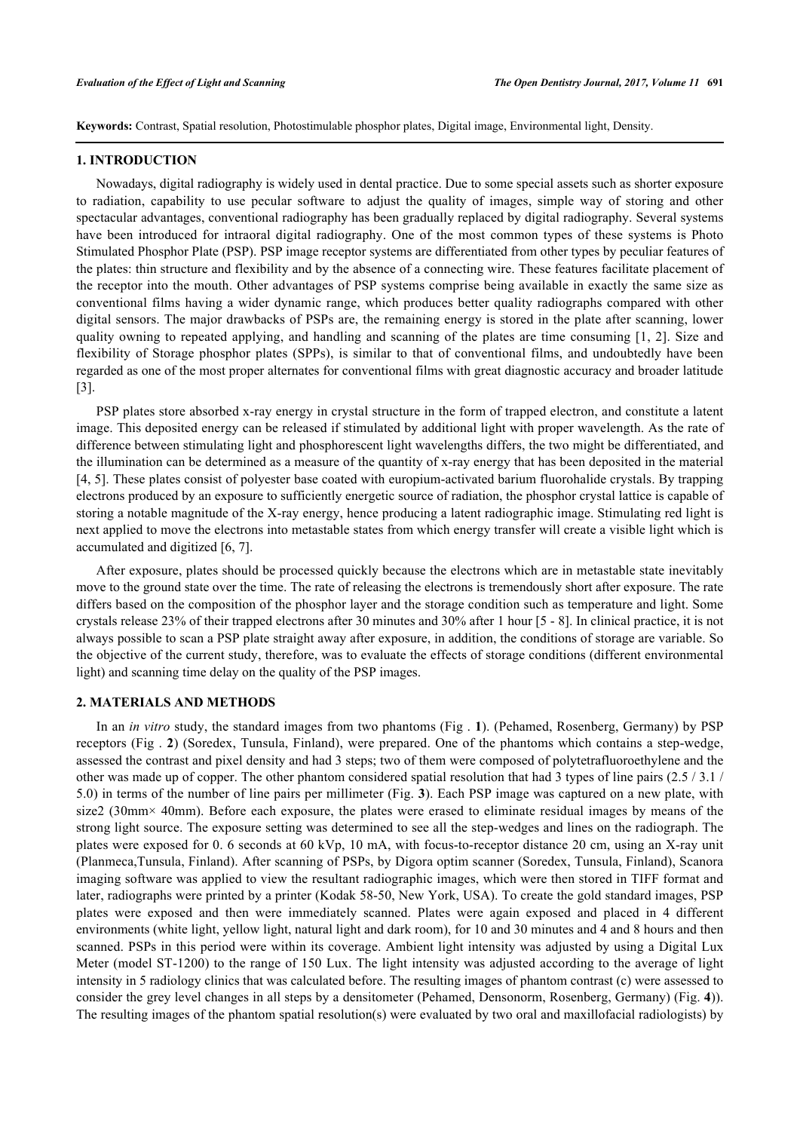**Keywords:** Contrast, Spatial resolution, Photostimulable phosphor plates, Digital image, Environmental light, Density.

### **1. INTRODUCTION**

Nowadays, digital radiography is widely used in dental practice. Due to some special assets such as shorter exposure to radiation, capability to use pecular software to adjust the quality of images, simple way of storing and other spectacular advantages, conventional radiography has been gradually replaced by digital radiography. Several systems have been introduced for intraoral digital radiography. One of the most common types of these systems is Photo Stimulated Phosphor Plate (PSP). PSP image receptor systems are differentiated from other types by peculiar features of the plates: thin structure and flexibility and by the absence of a connecting wire. These features facilitate placement of the receptor into the mouth. Other advantages of PSP systems comprise being available in exactly the same size as conventional films having a wider dynamic range, which produces better quality radiographs compared with other digital sensors. The major drawbacks of PSPs are, the remaining energy is stored in the plate after scanning, lower quality owning to repeated applying, and handling and scanning of the plates are time consuming [[1,](#page-9-0) [2](#page-9-1)]. Size and flexibility of Storage phosphor plates (SPPs), is similar to that of conventional films, and undoubtedly have been regarded as one of the most proper alternates for conventional films with great diagnostic accuracy and broader latitude [\[3](#page-9-2)].

PSP plates store absorbed x-ray energy in crystal structure in the form of trapped electron, and constitute a latent image. This deposited energy can be released if stimulated by additional light with proper wavelength. As the rate of difference between stimulating light and phosphorescent light wavelengths differs, the two might be differentiated, and the illumination can be determined as a measure of the quantity of x-ray energy that has been deposited in the material [\[4](#page-9-3), [5](#page-9-4)]. These plates consist of polyester base coated with europium-activated barium fluorohalide crystals. By trapping electrons produced by an exposure to sufficiently energetic source of radiation, the phosphor crystal lattice is capable of storing a notable magnitude of the X-ray energy, hence producing a latent radiographic image. Stimulating red light is next applied to move the electrons into metastable states from which energy transfer will create a visible light which is accumulated and digitized [[6,](#page-9-5) [7\]](#page-9-6).

After exposure, plates should be processed quickly because the electrons which are in metastable state inevitably move to the ground state over the time. The rate of releasing the electrons is tremendously short after exposure. The rate differs based on the composition of the phosphor layer and the storage condition such as temperature and light. Some crystals release 23% of their trapped electrons after 30 minutes and 30% after 1 hour [\[5](#page-9-4) - [8\]](#page-9-7). In clinical practice, it is not always possible to scan a PSP plate straight away after exposure, in addition, the conditions of storage are variable. So the objective of the current study, therefore, was to evaluate the effects of storage conditions (different environmental light) and scanning time delay on the quality of the PSP images.

# **2. MATERIALS AND METHODS**

In an *in vitro* study, the standard images from two phantoms (Fig . **[1](#page-2-0)**). (Pehamed, Rosenberg, Germany) by PSP receptors (Fig . **[2](#page-2-1)**) (Soredex, Tunsula, Finland), were prepared. One of the phantoms which contains a step-wedge, assessed the contrast and pixel density and had 3 steps; two of them were composed of polytetrafluoroethylene and the other was made up of copper. The other phantom considered spatial resolution that had 3 types of line pairs  $(2.5/3.1/$ 5.0) in terms of the number of line pairs per millimeter (Fig. **[3](#page-2-2)**). Each PSP image was captured on a new plate, with size2 (30mm× 40mm). Before each exposure, the plates were erased to eliminate residual images by means of the strong light source. The exposure setting was determined to see all the step-wedges and lines on the radiograph. The plates were exposed for 0. 6 seconds at 60 kVp, 10 mA, with focus-to-receptor distance 20 cm, using an X-ray unit (Planmeca,Tunsula, Finland). After scanning of PSPs, by Digora optim scanner (Soredex, Tunsula, Finland), Scanora imaging software was applied to view the resultant radiographic images, which were then stored in TIFF format and later, radiographs were printed by a printer (Kodak 58-50, New York, USA). To create the gold standard images, PSP plates were exposed and then were immediately scanned. Plates were again exposed and placed in 4 different environments (white light, yellow light, natural light and dark room), for 10 and 30 minutes and 4 and 8 hours and then scanned. PSPs in this period were within its coverage. Ambient light intensity was adjusted by using a Digital Lux Meter (model ST-1200) to the range of 150 Lux. The light intensity was adjusted according to the average of light intensity in 5 radiology clinics that was calculated before. The resulting images of phantom contrast (c) were assessed to consider the grey level changes in all steps by a densitometer (Pehamed, Densonorm, Rosenberg, Germany) (Fig. **[4](#page-3-0)**)). The resulting images of the phantom spatial resolution(s) were evaluated by two oral and maxillofacial radiologists) by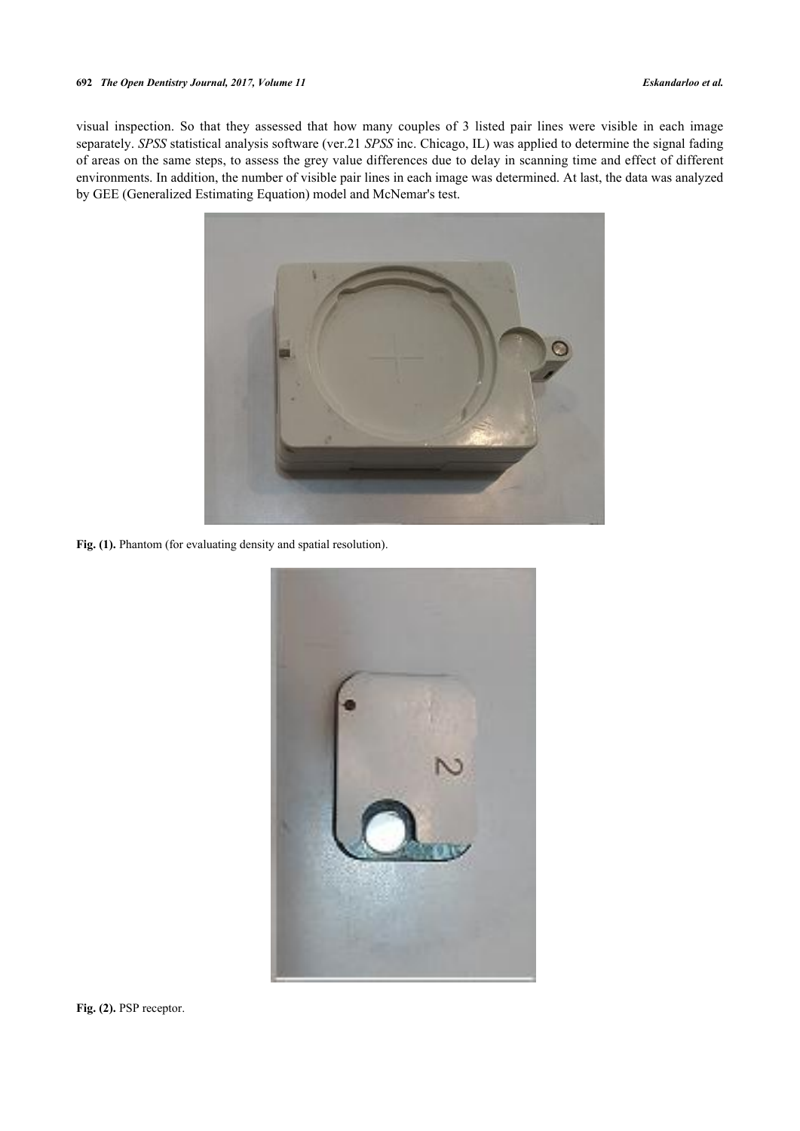<span id="page-2-0"></span>visual inspection. So that they assessed that how many couples of 3 listed pair lines were visible in each image separately. *SPSS* statistical analysis software (ver.21 *SPSS* inc. Chicago, IL) was applied to determine the signal fading of areas on the same steps, to assess the grey value differences due to delay in scanning time and effect of different environments. In addition, the number of visible pair lines in each image was determined. At last, the data was analyzed by GEE (Generalized Estimating Equation) model and McNemar's test.



<span id="page-2-1"></span>Fig. (1). Phantom (for evaluating density and spatial resolution).



<span id="page-2-2"></span>Fig. (2). PSP receptor.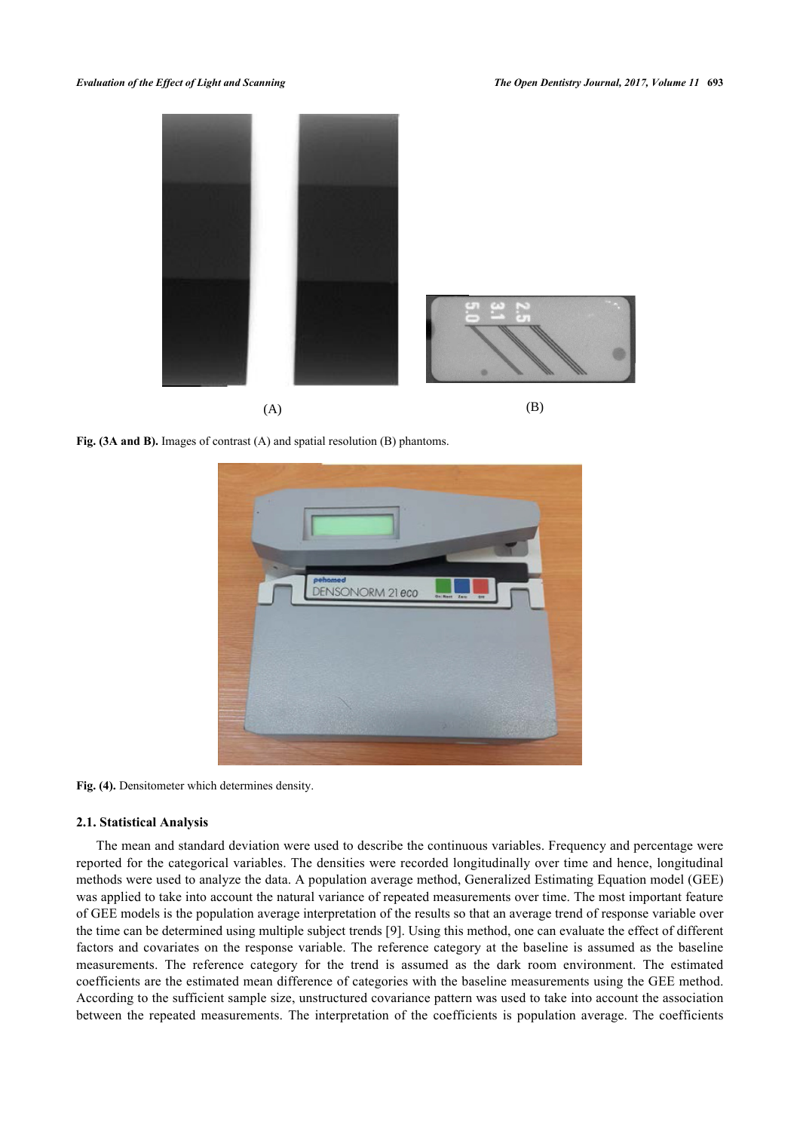

**Fig. (3A and B).** Images of contrast (A) and spatial resolution (B) phantoms.

<span id="page-3-0"></span>

Fig. (4). Densitometer which determines density.

# **2.1. Statistical Analysis**

The mean and standard deviation were used to describe the continuous variables. Frequency and percentage were reported for the categorical variables. The densities were recorded longitudinally over time and hence, longitudinal methods were used to analyze the data. A population average method, Generalized Estimating Equation model (GEE) was applied to take into account the natural variance of repeated measurements over time. The most important feature of GEE models is the population average interpretation of the results so that an average trend of response variable over the time can be determined using multiple subject trends [\[9\]](#page-9-8). Using this method, one can evaluate the effect of different factors and covariates on the response variable. The reference category at the baseline is assumed as the baseline measurements. The reference category for the trend is assumed as the dark room environment. The estimated coefficients are the estimated mean difference of categories with the baseline measurements using the GEE method. According to the sufficient sample size, unstructured covariance pattern was used to take into account the association between the repeated measurements. The interpretation of the coefficients is population average. The coefficients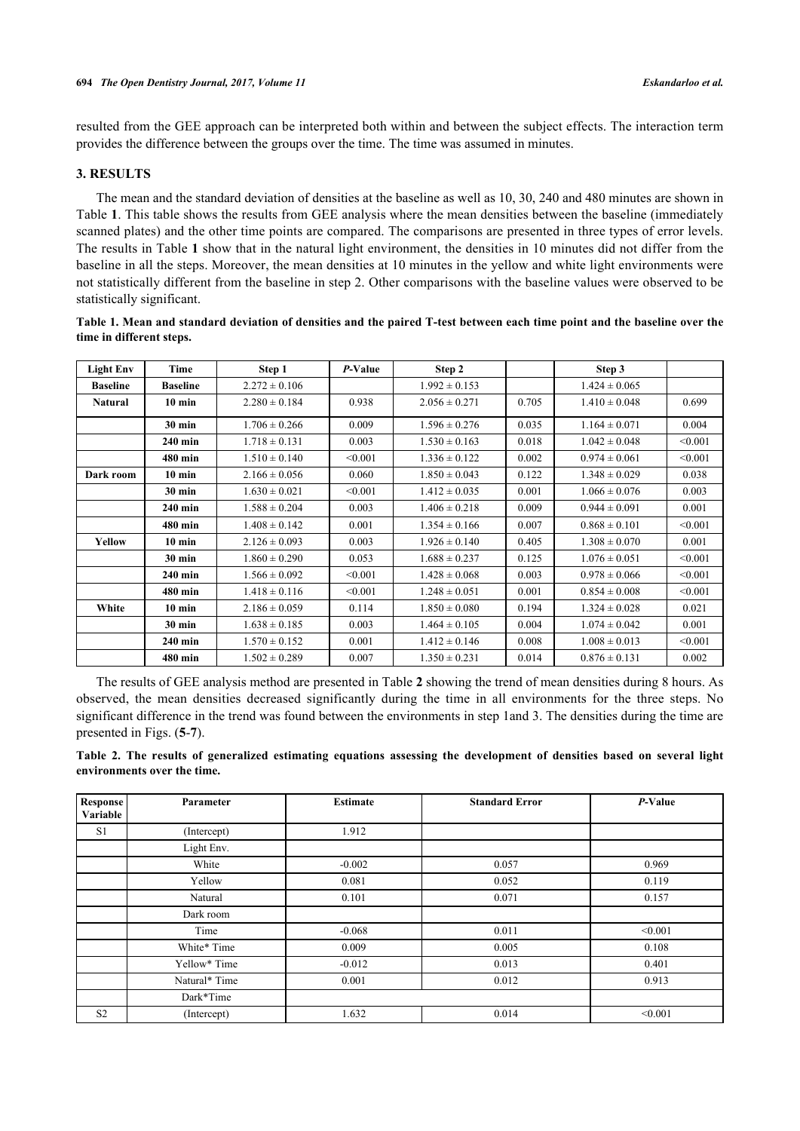resulted from the GEE approach can be interpreted both within and between the subject effects. The interaction term provides the difference between the groups over the time. The time was assumed in minutes.

# **3. RESULTS**

The mean and the standard deviation of densities at the baseline as well as 10, 30, 240 and 480 minutes are shown in Table **[1](#page-4-0)**. This table shows the results from GEE analysis where the mean densities between the baseline (immediately scanned plates) and the other time points are compared. The comparisons are presented in three types of error levels. The results in Table **[1](#page-4-0)** show that in the natural light environment, the densities in 10 minutes did not differ from the baseline in all the steps. Moreover, the mean densities at 10 minutes in the yellow and white light environments were not statistically different from the baseline in step 2. Other comparisons with the baseline values were observed to be statistically significant.

| <b>Light Env</b> | Time             | Step 1            | $P-Value$ | Step 2            |       | Step 3            |         |
|------------------|------------------|-------------------|-----------|-------------------|-------|-------------------|---------|
| <b>Baseline</b>  | <b>Baseline</b>  | $2.272 \pm 0.106$ |           | $1.992 \pm 0.153$ |       | $1.424 \pm 0.065$ |         |
| <b>Natural</b>   | $10 \text{ min}$ | $2.280 \pm 0.184$ | 0.938     | $2.056 \pm 0.271$ | 0.705 | $1.410 \pm 0.048$ | 0.699   |
|                  | $30$ min         | $1.706 \pm 0.266$ | 0.009     | $1.596 \pm 0.276$ | 0.035 | $1.164 \pm 0.071$ | 0.004   |
|                  | $240$ min        | $1.718 \pm 0.131$ | 0.003     | $1.530 \pm 0.163$ | 0.018 | $1.042 \pm 0.048$ | < 0.001 |
|                  | 480 min          | $1.510 \pm 0.140$ | < 0.001   | $1.336 \pm 0.122$ | 0.002 | $0.974 \pm 0.061$ | < 0.001 |
| Dark room        | $10 \text{ min}$ | $2.166 \pm 0.056$ | 0.060     | $1.850 \pm 0.043$ | 0.122 | $1.348 \pm 0.029$ | 0.038   |
|                  | <b>30 min</b>    | $1.630 \pm 0.021$ | < 0.001   | $1.412 \pm 0.035$ | 0.001 | $1.066 \pm 0.076$ | 0.003   |
|                  | 240 min          | $1.588 \pm 0.204$ | 0.003     | $1.406 \pm 0.218$ | 0.009 | $0.944 \pm 0.091$ | 0.001   |
|                  | 480 min          | $1.408 \pm 0.142$ | 0.001     | $1.354 \pm 0.166$ | 0.007 | $0.868 \pm 0.101$ | < 0.001 |
| Yellow           | $10 \text{ min}$ | $2.126 \pm 0.093$ | 0.003     | $1.926 \pm 0.140$ | 0.405 | $1.308 \pm 0.070$ | 0.001   |
|                  | $30$ min         | $1.860 \pm 0.290$ | 0.053     | $1.688 \pm 0.237$ | 0.125 | $1.076 \pm 0.051$ | < 0.001 |
|                  | $240$ min        | $1.566 \pm 0.092$ | < 0.001   | $1.428 \pm 0.068$ | 0.003 | $0.978 \pm 0.066$ | < 0.001 |
|                  | 480 min          | $1.418 \pm 0.116$ | < 0.001   | $1.248 \pm 0.051$ | 0.001 | $0.854 \pm 0.008$ | < 0.001 |
| White            | $10 \text{ min}$ | $2.186 \pm 0.059$ | 0.114     | $1.850 \pm 0.080$ | 0.194 | $1.324 \pm 0.028$ | 0.021   |
|                  | $30 \text{ min}$ | $1.638 \pm 0.185$ | 0.003     | $1.464 \pm 0.105$ | 0.004 | $1.074 \pm 0.042$ | 0.001   |
|                  | 240 min          | $1.570 \pm 0.152$ | 0.001     | $1.412 \pm 0.146$ | 0.008 | $1.008 \pm 0.013$ | < 0.001 |
|                  | 480 min          | $1.502 \pm 0.289$ | 0.007     | $1.350 \pm 0.231$ | 0.014 | $0.876 \pm 0.131$ | 0.002   |

<span id="page-4-0"></span>**Table 1. Mean and standard deviation of densities and the paired T-test between each time point and the baseline over the time in different steps.**

The results of GEE analysis method are presented in Table **[2](#page-4-1)** showing the trend of mean densities during 8 hours. As observed, the mean densities decreased significantly during the time in all environments for the three steps. No significant difference in the trend was found between the environments in step 1and 3. The densities during the time are presented in Figs. (**[5](#page-5-0)**-**[7](#page-6-0)**).

<span id="page-4-1"></span>**Table 2. The results of generalized estimating equations assessing the development of densities based on several light environments over the time.**

| Response<br>Variable | Parameter     | <b>Estimate</b> | <b>Standard Error</b> | $P-Value$ |
|----------------------|---------------|-----------------|-----------------------|-----------|
| S1                   | (Intercept)   | 1.912           |                       |           |
|                      | Light Env.    |                 |                       |           |
|                      | White         | $-0.002$        | 0.057                 | 0.969     |
|                      | Yellow        | 0.081           | 0.052                 | 0.119     |
|                      | Natural       | 0.101           | 0.071                 | 0.157     |
|                      | Dark room     |                 |                       |           |
|                      | Time          | $-0.068$        | 0.011                 | < 0.001   |
|                      | White* Time   | 0.009           | 0.005                 | 0.108     |
|                      | Yellow* Time  | $-0.012$        | 0.013                 | 0.401     |
|                      | Natural* Time | 0.001           | 0.012                 | 0.913     |
|                      | Dark*Time     |                 |                       |           |
| S <sub>2</sub>       | (Intercept)   | 1.632           | 0.014                 | < 0.001   |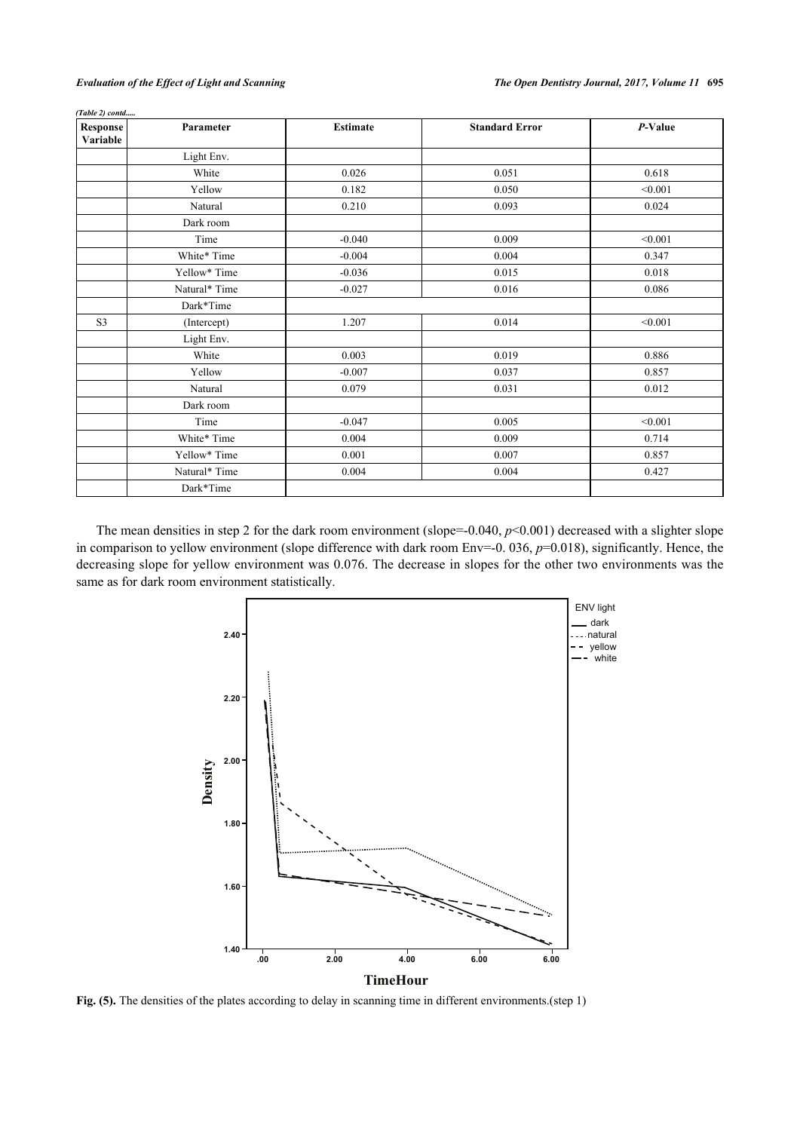| (Table 2) contd      |               |                 |                       |         |
|----------------------|---------------|-----------------|-----------------------|---------|
| Response<br>Variable | Parameter     | <b>Estimate</b> | <b>Standard Error</b> | P-Value |
|                      | Light Env.    |                 |                       |         |
|                      | White         | 0.026           | 0.051                 | 0.618   |
|                      | Yellow        | 0.182           | 0.050                 | < 0.001 |
|                      | Natural       | 0.210           | 0.093                 | 0.024   |
|                      | Dark room     |                 |                       |         |
|                      | Time          | $-0.040$        | 0.009                 | < 0.001 |
|                      | White* Time   | $-0.004$        | 0.004                 | 0.347   |
|                      | Yellow* Time  | $-0.036$        | 0.015                 | 0.018   |
|                      | Natural* Time | $-0.027$        | 0.016                 | 0.086   |
|                      | Dark*Time     |                 |                       |         |
| S <sub>3</sub>       | (Intercept)   | 1.207           | 0.014                 | < 0.001 |
|                      | Light Env.    |                 |                       |         |
|                      | White         | 0.003           | 0.019                 | 0.886   |
|                      | Yellow        | $-0.007$        | 0.037                 | 0.857   |
|                      | Natural       | 0.079           | 0.031                 | 0.012   |
|                      | Dark room     |                 |                       |         |
|                      | Time          | $-0.047$        | 0.005                 | < 0.001 |
|                      | White* Time   | 0.004           | 0.009                 | 0.714   |
|                      | Yellow* Time  | 0.001           | 0.007                 | 0.857   |
|                      | Natural* Time | 0.004           | 0.004                 | 0.427   |
|                      | Dark*Time     |                 |                       |         |

<span id="page-5-0"></span>The mean densities in step 2 for the dark room environment (slope=-0.040,  $p$ <0.001) decreased with a slighter slope in comparison to yellow environment (slope difference with dark room Env=-0. 036,  $p=0.018$ ), significantly. Hence, the decreasing slope for yellow environment was 0.076. The decrease in slopes for the other two environments was the same as for dark room environment statistically.



Fig. (5). The densities of the plates according to delay in scanning time in different environments.(step 1)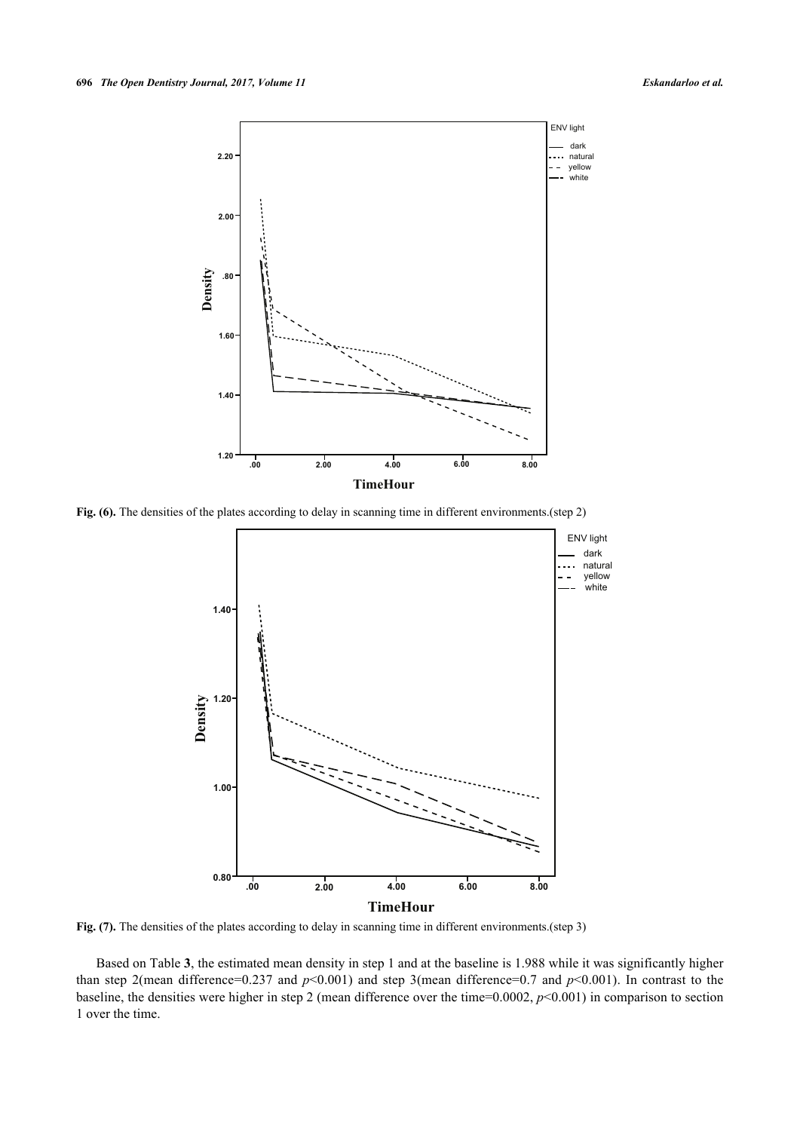

<span id="page-6-0"></span>**Fig. (6).** The densities of the plates according to delay in scanning time in different environments. (step 2)



Fig. (7). The densities of the plates according to delay in scanning time in different environments.(step 3)

<span id="page-6-1"></span>Based on Table **[3](#page-6-1)**, the estimated mean density in step 1 and at the baseline is 1.988 while it was significantly higher than step 2(mean difference=0.237 and *p*<0.001) and step 3(mean difference=0.7 and *p*<0.001). In contrast to the baseline, the densities were higher in step 2 (mean difference over the time=0.0002, *p*<0.001) in comparison to section 1 over the time.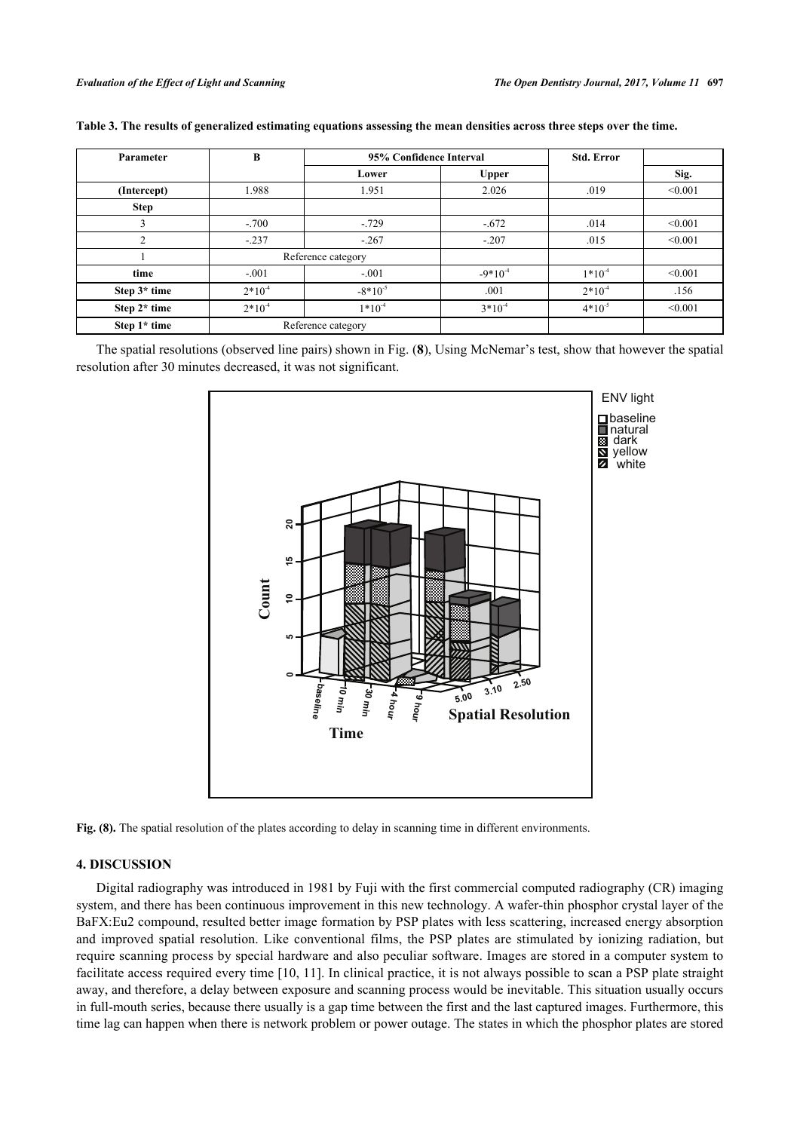| Parameter    | B           | 95% Confidence Interval |              | <b>Std. Error</b> |         |
|--------------|-------------|-------------------------|--------------|-------------------|---------|
|              |             | Lower                   | <b>Upper</b> |                   | Sig.    |
| (Intercept)  | 1.988       | 1.951                   | 2.026        | .019              | < 0.001 |
| <b>Step</b>  |             |                         |              |                   |         |
|              | $-.700$     | $-.729$                 | $-.672$      | .014              | < 0.001 |
| C            | $-.237$     | $-.267$                 | $-.207$      | .015              | < 0.001 |
|              |             | Reference category      |              |                   |         |
| time         | $-.001$     | $-.001$                 | $-9*10^{-4}$ | $1*10^{-4}$       | < 0.001 |
| Step 3* time | $2*10^{-4}$ | $-8*10^{-5}$            | .001         | $2*10^{-4}$       | .156    |
| Step 2* time | $2*10^{-4}$ | $1*10-4$                | $3*10^{-4}$  | $4*10^{-5}$       | < 0.001 |
| Step 1* time |             | Reference category      |              |                   |         |

| Table 3. The results of generalized estimating equations assessing the mean densities across three steps over the time. |  |  |  |
|-------------------------------------------------------------------------------------------------------------------------|--|--|--|

<span id="page-7-0"></span>The spatial resolutions (observed line pairs) shown in Fig. (**[8](#page-7-0)**), Using McNemar's test, show that however the spatial resolution after 30 minutes decreased, it was not significant.





# **4. DISCUSSION**

Digital radiography was introduced in 1981 by Fuji with the first commercial computed radiography (CR) imaging system, and there has been continuous improvement in this new technology. A wafer-thin phosphor crystal layer of the BaFX:Eu2 compound, resulted better image formation by PSP plates with less scattering, increased energy absorption and improved spatial resolution. Like conventional films, the PSP plates are stimulated by ionizing radiation, but require scanning process by special hardware and also peculiar software. Images are stored in a computer system to facilitate access required every time [\[10](#page-9-9), [11\]](#page-9-10). In clinical practice, it is not always possible to scan a PSP plate straight away, and therefore, a delay between exposure and scanning process would be inevitable. This situation usually occurs in full-mouth series, because there usually is a gap time between the first and the last captured images. Furthermore, this time lag can happen when there is network problem or power outage. The states in which the phosphor plates are stored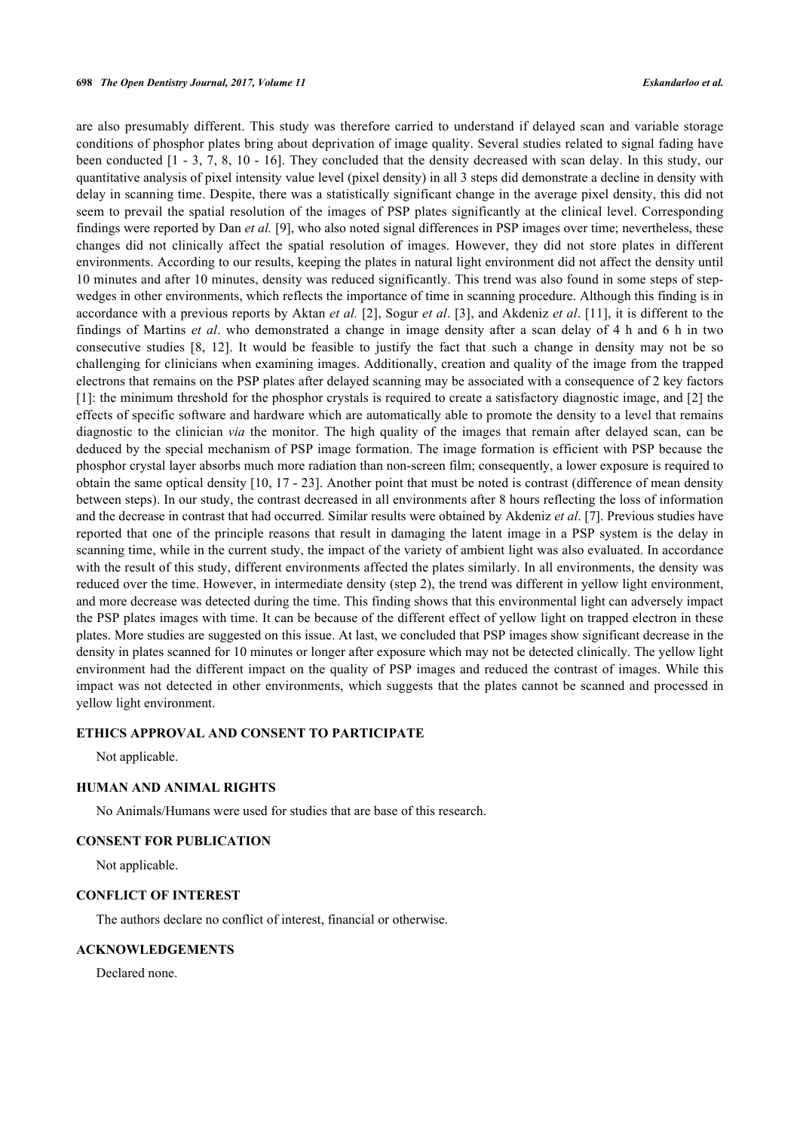are also presumably different. This study was therefore carried to understand if delayed scan and variable storage conditions of phosphor plates bring about deprivation of image quality. Several studies related to signal fading have been conducted [[1](#page-9-0) - [3](#page-9-2), [7](#page-9-6), [8](#page-9-7), [10](#page-9-9) - [16](#page-9-11)]. They concluded that the density decreased with scan delay. In this study, our quantitative analysis of pixel intensity value level (pixel density) in all 3 steps did demonstrate a decline in density with delay in scanning time. Despite, there was a statistically significant change in the average pixel density, this did not seem to prevail the spatial resolution of the images of PSP plates significantly at the clinical level. Corresponding findings were reported by Dan *et al.* [\[9](#page-9-8)], who also noted signal differences in PSP images over time; nevertheless, these changes did not clinically affect the spatial resolution of images. However, they did not store plates in different environments. According to our results, keeping the plates in natural light environment did not affect the density until 10 minutes and after 10 minutes, density was reduced significantly. This trend was also found in some steps of stepwedges in other environments, which reflects the importance of time in scanning procedure. Although this finding is in accordance with a previous reports by Aktan *et al.* [[2\]](#page-9-1), Sogur *et al*. [[3\]](#page-9-2), and Akdeniz *et al*. [[11](#page-9-10)], it is different to the findings of Martins *et al*. who demonstrated a change in image density after a scan delay of 4 h and 6 h in two consecutive studies [\[8](#page-9-7), [12](#page-9-12)]. It would be feasible to justify the fact that such a change in density may not be so challenging for clinicians when examining images. Additionally, creation and quality of the image from the trapped electrons that remains on the PSP plates after delayed scanning may be associated with a consequence of 2 key factors [\[1](#page-9-0)]: the minimum threshold for the phosphor crystals is required to create a satisfactory diagnostic image, and [[2\]](#page-9-1) the effects of specific software and hardware which are automatically able to promote the density to a level that remains diagnostic to the clinician *via* the monitor. The high quality of the images that remain after delayed scan, can be deduced by the special mechanism of PSP image formation. The image formation is efficient with PSP because the phosphor crystal layer absorbs much more radiation than non-screen film; consequently, a lower exposure is required to obtain the same optical density [[10,](#page-9-9) [17](#page-9-13) - [23](#page-10-0)]. Another point that must be noted is contrast (difference of mean density between steps). In our study, the contrast decreased in all environments after 8 hours reflecting the loss of information and the decrease in contrast that had occurred. Similar results were obtained by Akdeniz *et al*. [[7\]](#page-9-6). Previous studies have reported that one of the principle reasons that result in damaging the latent image in a PSP system is the delay in scanning time, while in the current study, the impact of the variety of ambient light was also evaluated. In accordance with the result of this study, different environments affected the plates similarly. In all environments, the density was reduced over the time. However, in intermediate density (step 2), the trend was different in yellow light environment, and more decrease was detected during the time. This finding shows that this environmental light can adversely impact the PSP plates images with time. It can be because of the different effect of yellow light on trapped electron in these plates. More studies are suggested on this issue. At last, we concluded that PSP images show significant decrease in the density in plates scanned for 10 minutes or longer after exposure which may not be detected clinically. The yellow light environment had the different impact on the quality of PSP images and reduced the contrast of images. While this impact was not detected in other environments, which suggests that the plates cannot be scanned and processed in yellow light environment.

### **ETHICS APPROVAL AND CONSENT TO PARTICIPATE**

Not applicable.

## **HUMAN AND ANIMAL RIGHTS**

No Animals/Humans were used for studies that are base of this research.

# **CONSENT FOR PUBLICATION**

Not applicable.

#### **CONFLICT OF INTEREST**

The authors declare no conflict of interest, financial or otherwise.

### **ACKNOWLEDGEMENTS**

Declared none.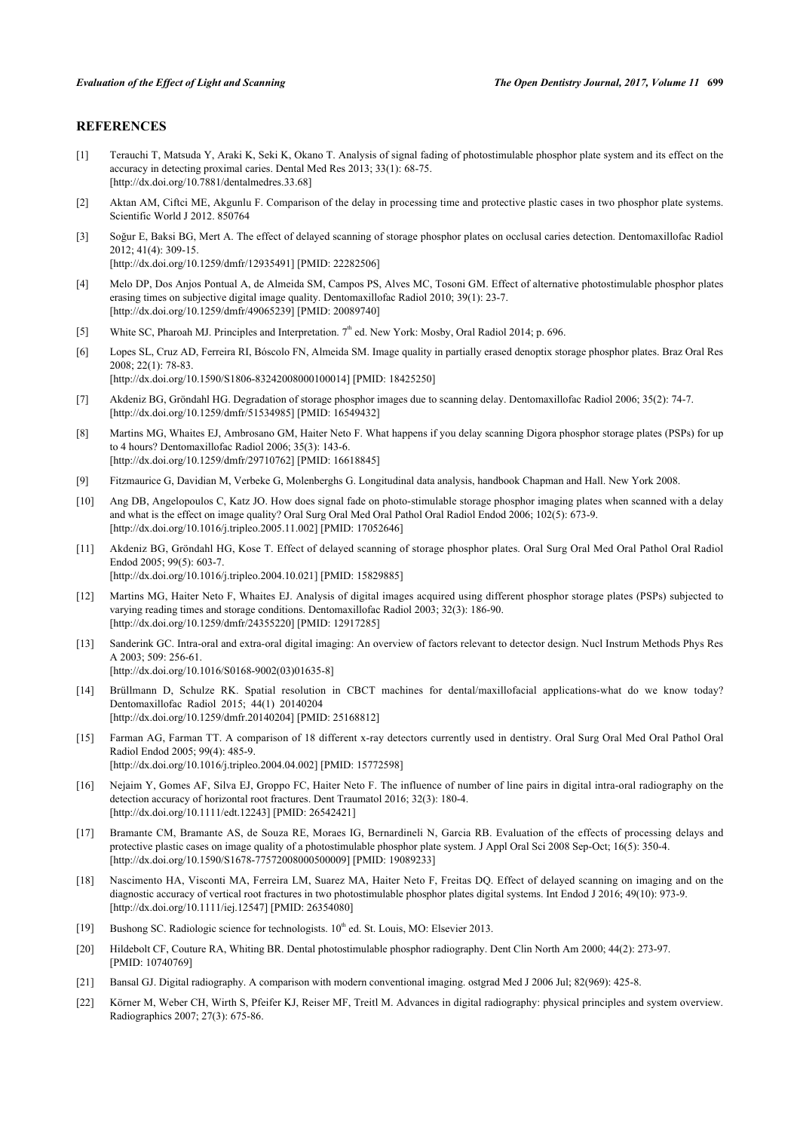# **REFERENCES**

- <span id="page-9-0"></span>[1] Terauchi T, Matsuda Y, Araki K, Seki K, Okano T. Analysis of signal fading of photostimulable phosphor plate system and its effect on the accuracy in detecting proximal caries. Dental Med Res 2013; 33(1): 68-75. [\[http://dx.doi.org/10.7881/dentalmedres.33.68](http://dx.doi.org/10.7881/dentalmedres.33.68)]
- <span id="page-9-1"></span>[2] Aktan AM, Ciftci ME, Akgunlu F. Comparison of the delay in processing time and protective plastic cases in two phosphor plate systems. Scientific World J 2012. 850764
- <span id="page-9-2"></span>[3] Soğur E, Baksi BG, Mert A. The effect of delayed scanning of storage phosphor plates on occlusal caries detection. Dentomaxillofac Radiol 2012; 41(4): 309-15. [\[http://dx.doi.org/10.1259/dmfr/12935491\]](http://dx.doi.org/10.1259/dmfr/12935491) [PMID: [22282506](http://www.ncbi.nlm.nih.gov/pubmed/22282506)]
- <span id="page-9-3"></span>[4] Melo DP, Dos Anjos Pontual A, de Almeida SM, Campos PS, Alves MC, Tosoni GM. Effect of alternative photostimulable phosphor plates erasing times on subjective digital image quality. Dentomaxillofac Radiol 2010; 39(1): 23-7. [\[http://dx.doi.org/10.1259/dmfr/49065239\]](http://dx.doi.org/10.1259/dmfr/49065239) [PMID: [20089740](http://www.ncbi.nlm.nih.gov/pubmed/20089740)]
- <span id="page-9-4"></span>[5] White SC, Pharoah MJ. Principles and Interpretation. 7<sup>th</sup> ed. New York: Mosby, Oral Radiol 2014; p. 696.
- <span id="page-9-5"></span>[6] Lopes SL, Cruz AD, Ferreira RI, Bóscolo FN, Almeida SM. Image quality in partially erased denoptix storage phosphor plates. Braz Oral Res 2008; 22(1): 78-83.
	- [\[http://dx.doi.org/10.1590/S1806-83242008000100014\]](http://dx.doi.org/10.1590/S1806-83242008000100014) [PMID: [18425250](http://www.ncbi.nlm.nih.gov/pubmed/18425250)]
- <span id="page-9-6"></span>[7] Akdeniz BG, Gröndahl HG. Degradation of storage phosphor images due to scanning delay. Dentomaxillofac Radiol 2006; 35(2): 74-7. [\[http://dx.doi.org/10.1259/dmfr/51534985\]](http://dx.doi.org/10.1259/dmfr/51534985) [PMID: [16549432](http://www.ncbi.nlm.nih.gov/pubmed/16549432)]
- <span id="page-9-7"></span>[8] Martins MG, Whaites EJ, Ambrosano GM, Haiter Neto F. What happens if you delay scanning Digora phosphor storage plates (PSPs) for up to 4 hours? Dentomaxillofac Radiol 2006; 35(3): 143-6. [\[http://dx.doi.org/10.1259/dmfr/29710762\]](http://dx.doi.org/10.1259/dmfr/29710762) [PMID: [16618845](http://www.ncbi.nlm.nih.gov/pubmed/16618845)]
- <span id="page-9-8"></span>[9] Fitzmaurice G, Davidian M, Verbeke G, Molenberghs G. Longitudinal data analysis, handbook Chapman and Hall. New York 2008.
- <span id="page-9-9"></span>[10] Ang DB, Angelopoulos C, Katz JO. How does signal fade on photo-stimulable storage phosphor imaging plates when scanned with a delay and what is the effect on image quality? Oral Surg Oral Med Oral Pathol Oral Radiol Endod 2006; 102(5): 673-9. [\[http://dx.doi.org/10.1016/j.tripleo.2005.11.002\]](http://dx.doi.org/10.1016/j.tripleo.2005.11.002) [PMID: [17052646](http://www.ncbi.nlm.nih.gov/pubmed/17052646)]
- <span id="page-9-10"></span>[11] Akdeniz BG, Gröndahl HG, Kose T. Effect of delayed scanning of storage phosphor plates. Oral Surg Oral Med Oral Pathol Oral Radiol Endod 2005; 99(5): 603-7. [\[http://dx.doi.org/10.1016/j.tripleo.2004.10.021\]](http://dx.doi.org/10.1016/j.tripleo.2004.10.021) [PMID: [15829885](http://www.ncbi.nlm.nih.gov/pubmed/15829885)]
- <span id="page-9-12"></span>[12] Martins MG, Haiter Neto F, Whaites EJ. Analysis of digital images acquired using different phosphor storage plates (PSPs) subjected to varying reading times and storage conditions. Dentomaxillofac Radiol 2003; 32(3): 186-90. [\[http://dx.doi.org/10.1259/dmfr/24355220\]](http://dx.doi.org/10.1259/dmfr/24355220) [PMID: [12917285](http://www.ncbi.nlm.nih.gov/pubmed/12917285)]
- [13] Sanderink GC. Intra-oral and extra-oral digital imaging: An overview of factors relevant to detector design. Nucl Instrum Methods Phys Res A 2003; 509: 256-61.
	- [\[http://dx.doi.org/10.1016/S0168-9002\(03\)01635-8\]](http://dx.doi.org/10.1016/S0168-9002(03)01635-8)
- [14] Brüllmann D, Schulze RK. Spatial resolution in CBCT machines for dental/maxillofacial applications-what do we know today? Dentomaxillofac Radiol 2015; 44(1) 20140204 [\[http://dx.doi.org/10.1259/dmfr.20140204](http://dx.doi.org/10.1259/dmfr.20140204)] [PMID: [25168812\]](http://www.ncbi.nlm.nih.gov/pubmed/25168812)
- [15] Farman AG, Farman TT. A comparison of 18 different x-ray detectors currently used in dentistry. Oral Surg Oral Med Oral Pathol Oral Radiol Endod 2005; 99(4): 485-9. [\[http://dx.doi.org/10.1016/j.tripleo.2004.04.002\]](http://dx.doi.org/10.1016/j.tripleo.2004.04.002) [PMID: [15772598](http://www.ncbi.nlm.nih.gov/pubmed/15772598)]
- <span id="page-9-11"></span>[16] Nejaim Y, Gomes AF, Silva EJ, Groppo FC, Haiter Neto F. The influence of number of line pairs in digital intra-oral radiography on the detection accuracy of horizontal root fractures. Dent Traumatol 2016; 32(3): 180-4. [\[http://dx.doi.org/10.1111/edt.12243\]](http://dx.doi.org/10.1111/edt.12243) [PMID: [26542421](http://www.ncbi.nlm.nih.gov/pubmed/26542421)]
- <span id="page-9-13"></span>[17] Bramante CM, Bramante AS, de Souza RE, Moraes IG, Bernardineli N, Garcia RB. Evaluation of the effects of processing delays and protective plastic cases on image quality of a photostimulable phosphor plate system. J Appl Oral Sci 2008 Sep-Oct; 16(5): 350-4. [\[http://dx.doi.org/10.1590/S1678-77572008000500009\]](http://dx.doi.org/10.1590/S1678-77572008000500009) [PMID: [19089233](http://www.ncbi.nlm.nih.gov/pubmed/19089233)]
- [18] Nascimento HA, Visconti MA, Ferreira LM, Suarez MA, Haiter Neto F, Freitas DQ. Effect of delayed scanning on imaging and on the diagnostic accuracy of vertical root fractures in two photostimulable phosphor plates digital systems. Int Endod J 2016; 49(10): 973-9. [\[http://dx.doi.org/10.1111/iej.12547\]](http://dx.doi.org/10.1111/iej.12547) [PMID: [26354080](http://www.ncbi.nlm.nih.gov/pubmed/26354080)]
- [19] Bushong SC. Radiologic science for technologists.  $10^{th}$  ed. St. Louis, MO: Elsevier 2013.
- [20] Hildebolt CF, Couture RA, Whiting BR. Dental photostimulable phosphor radiography. Dent Clin North Am 2000; 44(2): 273-97. [PMID: [10740769\]](http://www.ncbi.nlm.nih.gov/pubmed/10740769)
- [21] Bansal GJ. Digital radiography. A comparison with modern conventional imaging. ostgrad Med J 2006 Jul; 82(969): 425-8.
- [22] Körner M, Weber CH, Wirth S, Pfeifer KJ, Reiser MF, Treitl M. Advances in digital radiography: physical principles and system overview. Radiographics 2007; 27(3): 675-86.